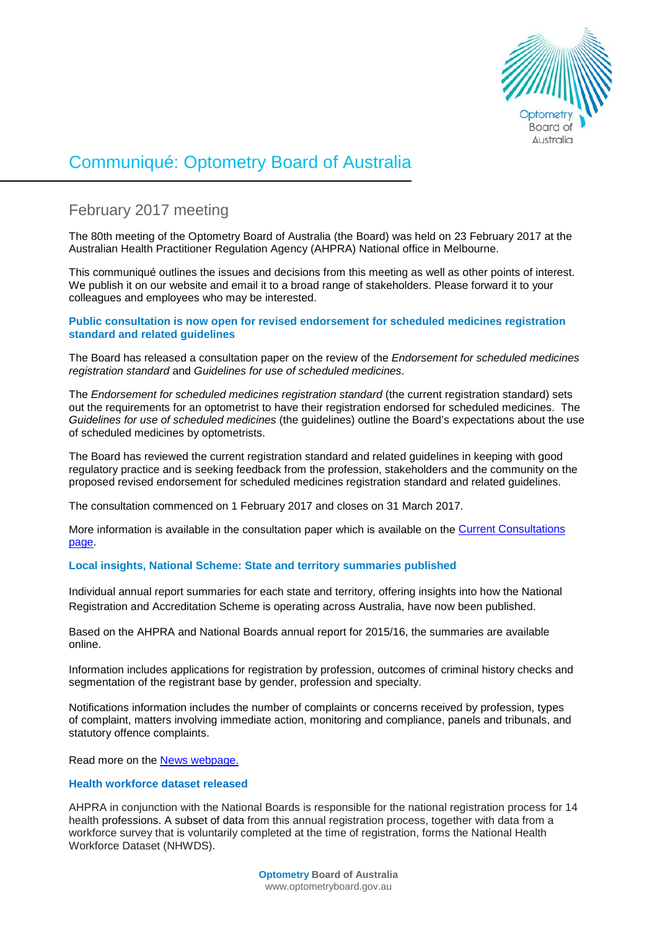

# Communiqué: Optometry Board of Australia

# February 2017 meeting

The 80th meeting of the Optometry Board of Australia (the Board) was held on 23 February 2017 at the Australian Health Practitioner Regulation Agency (AHPRA) National office in Melbourne.

This communiqué outlines the issues and decisions from this meeting as well as other points of interest. We publish it on our website and email it to a broad range of stakeholders. Please forward it to your colleagues and employees who may be interested.

### **Public consultation is now open for revised endorsement for scheduled medicines registration standard and related guidelines**

The Board has released a consultation paper on the review of the *Endorsement for scheduled medicines registration standard* and *Guidelines for use of scheduled medicines*.

The *Endorsement for scheduled medicines registration standard* (the current registration standard) sets out the requirements for an optometrist to have their registration endorsed for scheduled medicines. The *Guidelines for use of scheduled medicines* (the guidelines) outline the Board's expectations about the use of scheduled medicines by optometrists.

The Board has reviewed the current registration standard and related guidelines in keeping with good regulatory practice and is seeking feedback from the profession, stakeholders and the community on the proposed revised endorsement for scheduled medicines registration standard and related guidelines.

The consultation commenced on 1 February 2017 and closes on 31 March 2017.

More information is available in the consultation paper which is available on the [Current Consultations](http://www.optometryboard.gov.au/News/Current-Consultations.aspx)  [page.](http://www.optometryboard.gov.au/News/Current-Consultations.aspx)

# **Local insights, National Scheme: State and territory summaries published**

Individual annual report summaries for each state and territory, offering insights into how the National Registration and Accreditation Scheme is operating across Australia, have now been published.

Based on the AHPRA and National Boards annual report for 2015/16, the summaries are available online.

Information includes applications for registration by profession, outcomes of criminal history checks and segmentation of the registrant base by gender, profession and specialty.

Notifications information includes the number of complaints or concerns received by profession, types of complaint, matters involving immediate action, monitoring and compliance, panels and tribunals, and statutory offence complaints.

Read more on the **[News webpage.](http://www.ahpra.gov.au/News/2017-01-16-media-release.aspx)** 

# **Health workforce dataset released**

AHPRA in conjunction with the National Boards is responsible for the national registration process for 14 health professions. A subset of data from this annual registration process, together with data from a workforce survey that is voluntarily completed at the time of registration, forms the National Health Workforce Dataset (NHWDS).